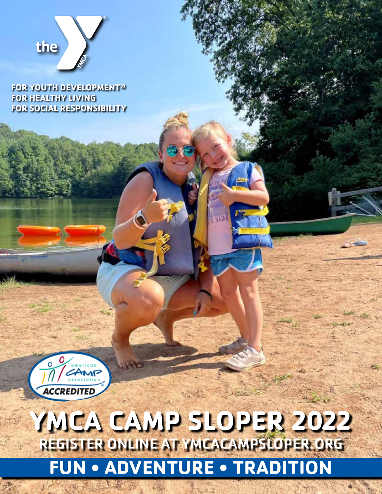

**FOR YOUTH DEVELOPMENT® FOR HEALTHY LIVING FOR SOCIAL RESPONSIBILITY**



# **FUN • ADVENTURE • TRADITION YMCA CAMP SLOPER 2022** REGISTER ONLINE AT YMCACAMPSLOPER.ORG

1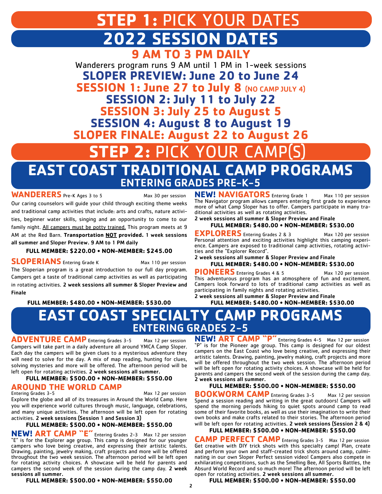## 22 SESSION DA  **STEP 1:** PICK YOUR DATES

**9 AM TO 3 PM DAILY** Wanderers program runs 9 AM until 1 PM in 1-week sessions **SLOPER PREVIEW: June 20 to June 24 SESSION 1: June 27 to July 8 (NO CAMP JULY 4)** 

> **SESSION 2: July 11 to July 22 SESSION 3: July 25 to August 5**

**SESSION 4: August 8 to August 19 SLOPER FINALE: August 22 to August 26**

## **STEP 2:** PICK YOUR CAMP(S)

## **EAST COAST TRADITIONAL CAMP PROGRAMS**  ENTERING GRADES PRE-K-5

**WANDERERS** Pre-K Ages 3 to 5 Max 30 per session Our caring counselors will guide your child through exciting theme weeks and traditional camp activities that include: arts and crafts, nature activities, beginner water skills, singing and an opportunity to come to our family night. All campers must be potty trained. This program meets at 9 AM at the Red Barn. **Transportation NOT provided.** 1 week sessions all summer and Sloper Preview. 9 AM to 1 PM daily

#### **FULL MEMBER: \$220.00 • NON-MEMBER: \$245.00**

**SLOPERIANS** Entering Grade K Max 110 per session The Sloperian program is a great introduction to our full day program. Campers get a taste of traditional camp activities as well as participating in rotating activities. 2 week sessions all summer & Sloper Preview and Finale

**FULL MEMBER: \$480.00 • NON-MEMBER: \$530.00**

**NEW! NAVIGATORS** Entering Grade 1 Max 110 per session The Navigator program allows campers entering first grade to experience more of what Camp Sloper has to offer. Campers participate in many traditional activities as well as rotating activities.

#### 2 week sessions all summer & Sloper Preview and Finale **FULL MEMBER: \$480.00 • NON-MEMBER: \$530.00**

**EXPLORERS** Entering Grades 2 & 3 Max 120 per session Personal attention and exciting activities highlight this camping experience. Campers are exposed to traditional camp activities, rotating activities and the "Explorer Record".

2 week sessions all summer & Sloper Preview and Finale

#### **FULL MEMBER: \$480.00 • NON-MEMBER: \$530.00**

**PIONEERS** Entering Grades 4 & 5 Max 120 per session This adventurous program has an atmosphere of fun and excitement. Campers look forward to lots of traditional camp activities as well as participating in family nights and rotating activities.

2 week sessions all summer & Sloper Preview and Finale

**FULL MEMBER: \$480.00 • NON-MEMBER: \$530.00**

## **EAST COAST SPECIALTY CAMP PROGRAMS**  ENTERING GRADES 2-5

**ADVENTURE CAMP** Entering Grades 3-5 Max 12 per session Campers will take part in a daily adventure all around YMCA Camp Sloper. Each day the campers will be given clues to a mysterious adventure they will need to solve for the day. A mix of map reading, hunting for clues, solving mysteries and more will be offered. The afternoon period will be left open for rotating activities. 2 week sessions all summer.

#### **FULL MEMBER: \$500.00 • NON-MEMBER: \$550.00**

#### **AROUND THE WORLD CAMP**

Entering Grades 3-5 Max 12 per session Explore the globe and all of its treasures in Around the World Camp. Here you will experience world cultures through music, language, celebrations, and many unique activities. The afternoon will be left open for rotating activities. 2 week sessions (Session 1 and Session 3)

#### **FULL MEMBER: \$500.00 • NON-MEMBER: \$550.00**

**NEW! ART CAMP "E"** Entering Grades 2-3 Max 12 per session "E" is for the Explorer age group. This camp is designed for our younger campers who love being creative, and expressing their artistic talents. Drawing, painting, jewelry making, craft projects and more will be offered throughout the two week session. The afternoon period will be left open for rotating activity choices. A showcase will be held for parents and campers the second week of the session during the camp day. 2 week sessions all summer.

**FULL MEMBER: \$500.00 • NON-MEMBER: \$550.00**

**NEW! ART CAMP "P"** Entering Grades 4-5 Max 12 per session "P" is for the Pioneer age group. This camp is designed for our oldest campers on the East Coast who love being creative, and expressing their artistic talents. Drawing, painting, jewelry making, craft projects and more will be offered throughout the two week session. The afternoon period will be left open for rotating activity choices. A showcase will be held for parents and campers the second week of the session during the camp day. 2 week sessions all summer.

#### **FULL MEMBER: \$500.00 • NON-MEMBER: \$550.00**

**BOOKWORM CAMP** Entering Grades 3-5 Max 12 per session Spend a session reading and writing in the great outdoors! Campers will spend the morning periods hiking to quiet spots around camp to read some of their favorite books, as well as use their imagination to write their own books and make crafts related to their stories. The afternoon period will be left open for rotating activities. 2 week sessions (Session 2 & 4)

#### **FULL MEMBER: \$500.00 • NON-MEMBER: \$550.00**

**CAMP PERFECT CAMP** Entering Grades 3-5 Max 12 per session Get creative with DIY trick shots with this specialty camp! Plan, create and perform your own and staff-created trick shots around camp, culminating in our own Sloper Perfect session video! Campers also compete in exhilarating competitions, such as the Smelling Bee, All Sports Battles, the Absurd World Record and so much more! The afternoon period will be left open for rotating activities. 2 week sessions all summer.

**FULL MEMBER: \$500.00 • NON-MEMBER: \$550.00**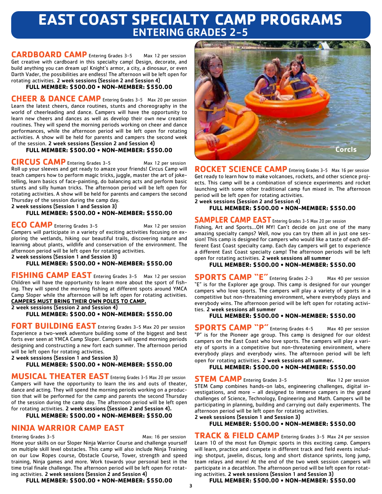## **EAST COAST SPECIALTY CAMP PROGRAMS**  ENTERING GRADES 2-5

**CARDBOARD CAMP** Entering Grades 3-5 Max 12 per session Get creative with cardboard in this specialty camp! Design, decorate, and build anything you can dream up! Knight's armor, a city, a dinosaur, or even Darth Vader, the possibilities are endless! The afternoon will be left open for rotating activities. 2 week sessions (Session 2 and Session 4)

#### **FULL MEMBER: \$500.00 • NON-MEMBER: \$550.00**

**CHEER & DANCE CAMP** Entering Grades 3-5 Max 20 per session Learn the latest cheers, dance routines, stunts and choreography in the world of cheerleading and dance. Campers will have the opportunity to learn new cheers and dances as well as develop their own new creative routines. They will spend the morning periods working on cheer and dance performances, while the afternoon period will be left open for rotating activities. A show will be held for parents and campers the second week of the session. 2 week sessions (Session 2 and Session 4)

#### **FULL MEMBER: \$500.00 • NON-MEMBER: \$550.00**

**CIRCUS CAMP** Entering Grades 3-5 Max 12 per session Roll up your sleeves and get ready to amaze your friends! Circus Camp will teach campers how to perform magic tricks, juggle, master the art of joketelling, learn basics of face-painting, do balancing acts and perform basic stunts and silly human tricks. The afternoon period will be left open for rotating activities. A show will be held for parents and campers the second Thursday of the session during the camp day.

2 week sessions (Session 1 and Session 3)

#### **FULL MEMBER: \$500.00 • NON-MEMBER: \$550.00**

**ECO CAMP** Entering Grades 3-5 Max 12 per session Campers will participate in a variety of exciting activities focusing on exploring the wetlands, hiking our beautiful trails, discovering nature and learning about plants, wildlife and conservation of the environment. The afternoon period will be left open for rotating activities.

2 week sessions (Session 1 and Session 3)

#### **FULL MEMBER: \$500.00 • NON-MEMBER: \$550.00**

**FISHING CAMP EAST** Entering Grades 3-5 Max 12 per session Children will have the opportunity to learn more about the sport of fishing. They will spend the morning fishing at different spots around YMCA Camp Sloper while the afternoon will be left open for rotating activities. **CAMPERS MUST BRING THEIR OWN POLES TO CAMP.**

#### 2 week sessions (Session 2 and Session 4)

**FULL MEMBER: \$500.00 • NON-MEMBER: \$550.00**

**FORT BUILDING EAST** Entering Grades 3-5 Max 20 per session Experience a two-week adventure building some of the biggest and best forts ever seen at YMCA Camp Sloper. Campers will spend morning periods designing and constructing a new fort each summer. The afternoon period will be left open for rotating activities.

2 week sessions (Session 1 and Session 3)

#### **FULL MEMBER: \$500.00 • NON-MEMBER: \$550.00**

**MUSICAL THEATER EAST**Entering Grades 3-5 Max 20 per session Campers will have the opportunity to learn the ins and outs of theater, dance and acting. They will spend the morning periods working on a production that will be performed for the camp and parents the second Thursday of the session during the camp day. The afternoon period will be left open for rotating activities. 2 week sessions (Session 2 and Session 4)**.** 

#### **FULL MEMBER: \$500.00 • NON-MEMBER: \$550.00**

### **NINJA WARRIOR CAMP EAST**

Entering Grades 3-5 Max: 16 per session Hone your skills on our Sloper Ninja Warrior Course and challenge yourself on multiple skill level obstacles. This camp will also include Ninja Training on our Low Ropes course, Obstacle Course, Tower, strength and speed training, Ninja games and more. Work towards your personal best in the time trial finale challenge. The afternoon period will be left open for rotating activities. 2 week sessions (Session 2 and Session 4)

**FULL MEMBER: \$500.00 • NON-MEMBER: \$550.00**



**ROCKET SCIENCE CAMP** Entering Grades 3-5 Max 16 per session Get ready to learn how to make volcanoes, rockets, and other science projects. This camp will be a combination of science experiments and rocket launching with some other traditional camp fun mixed in. The afternoon period will be left open for rotating activities.

#### 2 week sessions (Session 2 and Session 4)

#### **FULL MEMBER: \$500.00 • NON-MEMBER: \$550.00**

#### **SAMPLER CAMP EAST**Entering Grades 3-5 Max 20 per session

Fishing, Art and Sports…OH MY! Can't decide on just one of the many amazing specialty camps? Well, now you can try them all in just one session! This camp is designed for campers who would like a taste of each different East Coast specialty camp. Each day campers will get to experience a different East Coast specialty camp! The afternoon periods will be left open for rotating activities. 2 week sessions all summer

#### **FULL MEMBER: \$500.00 • NON-MEMBER: \$550.00**

**SPORTS CAMP "E"** Entering Grades 2-3 Max 40 per session "E" is for the Explorer age group. This camp is designed for our younger campers who love sports. The campers will play a variety of sports in a competitive but non-threatening environment, where everybody plays and everybody wins. The afternoon period will be left open for rotating activities. 2 week sessions all summer

#### **FULL MEMBER: \$500.00 • NON-MEMBER: \$550.00**

**SPORTS CAMP "P"** Entering Grades 4-5 Max 40 per session "P" is for the Pioneer age group. This camp is designed for our oldest campers on the East Coast who love sports. The campers will play a variety of sports in a competitive but non-threatening environment, where everybody plays and everybody wins. The afternoon period will be left open for rotating activities. 2 week sessions all summer**.** 

#### **FULL MEMBER: \$500.00 • NON-MEMBER: \$550.00**

**STEM CAMP** Entering Grades 3-5 Max 12 per session STEM Camp combines hands-on labs, engineering challenges, digital investigations, and more – all designed to immerse campers in the grand challenges of Science, Technology, Engineering and Math. Campers will be participating in planning, building and carrying out daily experiments. The afternoon period will be left open for rotating activities.

#### 2 week sessions (Session 1 and Session 3)

#### **FULL MEMBER: \$500.00 • NON-MEMBER: \$550.00**

**TRACK & FIELD CAMP** Entering Grades 3-5 Max 24 per session Learn 10 of the most fun Olympic sports in this exciting camp. Campers will learn, practice and compete in different track and field events including: shotput, javelin, discus, long and short distance sprints, long jump, team relays and more! At the end of the two week session campers will participate in a decathlon. The afternoon period will be left open for rotating activities. 2 week sessions (Session 1 and Session 3)

#### **FULL MEMBER: \$500.00 • NON-MEMBER: \$550.00**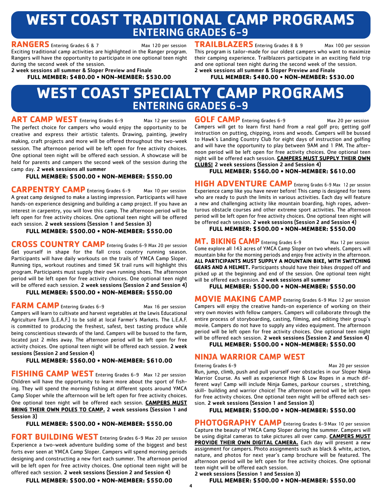## **WEST COAST TRADITIONAL CAMP PROGRAMS**  ENTERING GRADES 6-9

**RANGERS** Entering Grades 6 & 7 Max 120 per session

Exciting traditional camp activities are highlighted in the Ranger program. Rangers will have the opportunity to participate in one optional teen night during the second week of the session.

2 week sessions all summer & Sloper Preview and Finale **FULL MEMBER: \$480.00 • NON-MEMBER: \$530.00**

**TRAILBLAZERS** Entering Grades 8 & 9 Max 100 per session This program is tailor-made for our oldest campers who want to maximize their camping experience. Trailblazers participate in an exciting field trip and one optional teen night during the second week of the session. 2 week sessions all summer & Sloper Preview and Finale

**FULL MEMBER: \$480.00 • NON-MEMBER: \$530.00**

## **WEST COAST SPECIALTY CAMP PROGRAMS**  ENTERING GRADES 6-9

**ART CAMP WEST** Entering Grades 6-9 Max 12 per session The perfect choice for campers who would enjoy the opportunity to be creative and express their artistic talents. Drawing, painting, jewelry making, craft projects and more will be offered throughout the two-week session. The afternoon period will be left open for free activity choices. One optional teen night will be offered each session. A showcase will be held for parents and campers the second week of the session during the camp day. 2 week sessions all summer

**FULL MEMBER: \$500.00 • NON-MEMBER: \$550.00**

**CARPENTRY CAMP** Entering Grades 6-9 Max 10 per session A great camp designed to make a lasting impression. Participants will have hands-on experience designing and building a camp project. If you have an interest in carpentry, you will love this camp. The afternoon period will be left open for free activity choices. One optional teen night will be offered each session. 2 week sessions (Session 1 and Session 3)

#### **FULL MEMBER: \$500.00 • NON-MEMBER: \$550.00**

**CROSS COUNTRY CAMP** Entering Grades 6-9 Max 20 per session Get yourself in shape for the fall cross country running season. Participants will have daily workouts on the trails of YMCA Camp Sloper. Running tips, workout routines and timed 5K trail runs will highlight this program. Participants must supply their own running shoes. The afternoon period will be left open for free activity choices. One optional teen night will be offered each session. 2 week sessions (Session 2 and Session 4)

#### **FULL MEMBER: \$500.00 • NON-MEMBER: \$550.00**

**FARM CAMP** Entering Grades 6-9 Max 16 per session Campers will learn to cultivate and harvest vegetables at the Lewis Educational Agriculture Farm (L.E.A.F.) to be sold at local Farmer's Markets. The L.E.A.F. is committed to producing the freshest, safest, best tasting produce while being conscientious stewards of the land. Campers will be bussed to the farm, located just 2 miles away. The afternoon period will be left open for free activity choices. One optional teen night will be offered each session. 2 week sessions (Session 2 and Session 4)

**FULL MEMBER: \$560.00 • NON-MEMBER: \$610.00**

**FISHING CAMP WEST** Entering Grades 6-9 Max 12 per session Children will have the opportunity to learn more about the sport of fishing. They will spend the morning fishing at different spots around YMCA Camp Sloper while the afternoon will be left open for free activity choices. One optional teen night will be offered each session. **CAMPERS MUST BRING THEIR OWN POLES TO CAMP.** 2 week sessions (Session 1 and Session 3)

**FULL MEMBER: \$500.00 • NON-MEMBER: \$550.00**

**FORT BUILDING WEST** Entering Grades 6-9 Max 20 per session Experience a two-week adventure building some of the biggest and best forts ever seen at YMCA Camp Sloper. Campers will spend morning periods designing and constructing a new fort each summer. The afternoon period will be left open for free activity choices. One optional teen night will be offered each session. 2 week sessions (Session 2 and Session 4)

**FULL MEMBER: \$500.00 • NON-MEMBER: \$550.00**

**GOLF CAMP** Entering Grades 6-9 Max 20 per session Campers will get to learn first hand from a real golf pro; getting golf instruction on putting, chipping, irons and woods. Campers will be bussed to Hawk's Landing Country Club for eight days of instruction and golfing and will have the opportunity to play between 9AM and 1 PM. The afternoon period will be left open for free activity choices. One optional teen night will be offered each session. **CAMPERS MUST SUPPLY THEIR OWN CLUBS!** 2 week sessions (Session 2 and Session 4)

**FULL MEMBER: \$560.00 • NON-MEMBER: \$610.00**

**HIGH ADVENTURE CAMP** Entering Grades 6-9 Max 12 per session Experience camp like you have never before! This camp is designed for teens who are ready to push the limits in various activities. Each day will feature a new and challenging activity like mountain boarding, high ropes, adventurous obstacle courses and other extreme sport activities. The afternoon period will be left open for free activity choices. One optional teen night will be offered each session. 2 week sessions (Session 2 and Session 4)

#### **FULL MEMBER: \$500.00 • NON-MEMBER: \$550.00**

**MT. BIKING CAMP** Entering Grades 6-9 Max 12 per session Come explore all 143 acres of YMCA Camp Sloper on two wheels. Campers will mountain bike for the morning periods and enjoy free activity in the afternoon. **ALL PARTICIPANTS MUST SUPPLY A MOUNTAIN BIKE, WITH SWITCHING GEARS AND A HELMET.** Participants should have their bikes dropped off and picked up at the beginning and end of the session. One optional teen night will be offered each session. 2 week sessions all summer

**FULL MEMBER: \$500.00 • NON-MEMBER: \$550.00**

**MOVIE MAKING CAMP** Entering Grades 6-9 Max 12 per session Campers will enjoy the creative hands-on experience of working on their very own movies with fellow campers. Campers will collaborate through the entire process of storyboarding, casting, filming, and editing their group's movie. Campers do not have to supply any video equipment. The afternoon period will be left open for free activity choices. One optional teen night will be offered each session. 2 week sessions (Session 2 and Session 4)

#### **FULL MEMBER: \$500.00 • NON-MEMBER: \$550.00**

#### **NINJA WARRIOR CAMP WEST**

Entering Grades 6-9 Max 20 per session Run, jump, climb, push and pull yourself over obstacles in our Sloper Ninja Warrior Course. As well as experience High & Low Ropes in a much different way! Camp will include Ninja Games, parkour courses , stretching, skill- building and warrior choice! The afternoon period will be left open for free activity choices. One optional teen night will be offered each session. 2 week sessions (Session 1 and Session 3)

#### **FULL MEMBER: \$500.00 • NON-MEMBER: \$550.00**

PHOTOGRAPHY CAMP Entering Grades 6-9 Max 10 per session Capture the beauty of YMCA Camp Sloper during the summer. Campers will be using digital cameras to take pictures all over camp. **CAMPERS MUST PROVIDE THEIR OWN DIGITAL CAMERA.** Each day will present a new assignment for campers. Photo assignments such as black & white, action, nature, and photos for next year's camp brochure will be featured. The afternoon period will be left open for free activity choices. One optional teen night will be offered each session.

2 week sessions (Session 1 and Session 3)

#### **FULL MEMBER: \$500.00 • NON-MEMBER: \$550.00**

4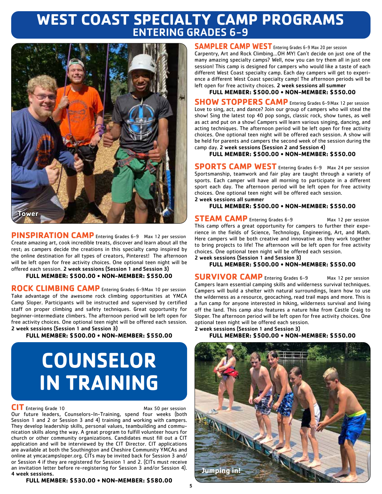## **WEST COAST SPECIALTY CAMP PROGRAMS**  ENTERING GRADES 6-9



**PINSPIRATION CAMP** Entering Grades 6-9 Max 12 per session Create amazing art, cook incredible treats, discover and learn about all the rest; as campers decide the creations in this specialty camp inspired by the online destination for all types of creators, Pinterest! The afternoon will be left open for free activity choices. One optional teen night will be offered each session. 2 week sessions (Session 1 and Session 3)

#### **FULL MEMBER: \$500.00 • NON-MEMBER: \$550.00**

**ROCK CLIMBING CAMP** Entering Grades 6-9Max 10 per session Take advantage of the awesome rock climbing opportunities at YMCA Camp Sloper. Participants will be instructed and supervised by certified staff on proper climbing and safety techniques. Great opportunity for beginner-intermediate climbers. The afternoon period will be left open for free activity choices. One optional teen night will be offered each session. 2 week sessions (Session 1 and Session 3)

**FULL MEMBER: \$500.00 • NON-MEMBER: \$550.00**

# **COUNSELOR IN TRAINING**

#### **CIT** Entering Grade 10 Max 50 per session

Our future leaders, Counselors-In-Training, spend four weeks (both Session 1 and 2 or Session 3 and 4) training and working with campers. They develop leadership skills, personal values, teambuilding and communication skills along the way. A great program to fulfill volunteer hours for church or other community organizations. Candidates must fill out a CIT application and will be interviewed by the CIT Director. CIT applications are available at both the Southington and Cheshire Community YMCAs and online at ymcacampsloper.org. CITs may be invited back for Session 3 and/ or Session 4 if they are registered for Session 1 and 2. (CITs must receive an invitation letter before re-registering for Session 3 and/or Session 4). 4 week sessions.

**FULL MEMBER: \$530.00 • NON-MEMBER: \$580.00**

#### **SAMPLER CAMP WEST** Entering Grades 6-9 Max 20 per session

Carpentry, Art and Rock Climbing…OH MY! Can't decide on just one of the many amazing specialty camps? Well, now you can try them all in just one session! This camp is designed for campers who would like a taste of each different West Coast specialty camp. Each day campers will get to experience a different West Coast specialty camp! The afternoon periods will be left open for free activity choices. 2 week sessions all summer

#### **FULL MEMBER: \$500.00 • NON-MEMBER: \$550.00**

**SHOW STOPPERS CAMP** Entering Grades 6-9 Max 12 per session Love to sing, act, and dance? Join our group of campers who will steal the show! Sing the latest top 40 pop songs, classic rock, show tunes, as well as act and put on a show! Campers will learn various singing, dancing, and acting techniques. The afternoon period will be left open for free activity choices. One optional teen night will be offered each session. A show will be held for parents and campers the second week of the session during the camp day. 2 week sessions (Session 2 and Session 4)

#### **FULL MEMBER: \$500.00 • NON-MEMBER: \$550.00**

**SPORTS CAMP WEST** Entering Grades 6-9 Max 24 per session Sportsmanship, teamwork and fair play are taught through a variety of sports. Each camper will have all morning to participate in a different sport each day. The afternoon period will be left open for free activity choices. One optional teen night will be offered each session. 2 week sessions all summer

#### **FULL MEMBER: \$500.00 • NON-MEMBER: \$550.00**

**STEAM CAMP** Entering Grades 6-9 Max 12 per session This camp offers a great opportunity for campers to further their experience in the fields of Science, Technology, Engineering, Art, and Math. Here campers will be both creative and innovative as they work together to bring projects to life! The afternoon will be left open for free activity choices. One optional teen night will be offered each session. 2 week sessions (Session 1 and Session 3)

#### **FULL MEMBER: \$500.00 • NON-MEMBER: \$550.00**

**SURVIVOR CAMP** Entering Grades 6-9 Max 12 per session Campers learn essential camping skills and wilderness survival techniques. Campers will build a shelter with natural surroundings, learn how to use the wilderness as a resource, geocaching, read trail maps and more. This is a fun camp for anyone interested in hiking, wilderness survival and living off the land. This camp also features a nature hike from Castle Craig to Sloper. The afternoon period will be left open for free activity choices. One optional teen night will be offered each session. 2 week sessions (Session 1 and Session 3)

**FULL MEMBER: \$500.00 • NON-MEMBER: \$550.00**

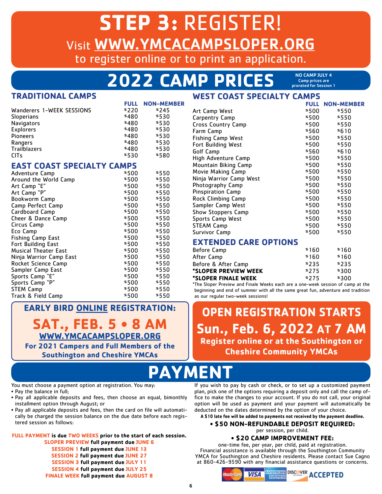## **STEP 3:** REGISTER! Visit WWW.YMCACAMPSLOPER.ORG to register online or to print an application.

## **2022 CAMP PRIC**

#### **TRADITIONAL CAMPS**

|                           | <b>FULL</b> | <b>NON-MEMBER</b> |
|---------------------------|-------------|-------------------|
| Wanderers 1-WEEK SESSIONS | \$220       | \$245             |
| Sloperians                | \$480       | \$530             |
| <b>Navigators</b>         | \$480       | \$530             |
| <b>Explorers</b>          | \$480       | \$530             |
| <b>Pioneers</b>           | \$480       | \$530             |
| Rangers                   | \$480       | \$530             |
| <b>Trailblazers</b>       | \$480       | \$530             |
| <b>CIT<sub>s</sub></b>    | \$530       | \$580             |

#### **EAST COAST SPECIALTY CAMPS**

| Adventure Camp           | \$500 | \$550 |
|--------------------------|-------|-------|
| Around the World Camp    | \$500 | \$550 |
| Art Camp "E"             | \$500 | \$550 |
| Art Camp "P"             | \$500 | \$550 |
| Bookworm Camp            | \$500 | \$550 |
| Camp Perfect Camp        | \$500 | \$550 |
| Cardboard Camp           | \$500 | \$550 |
| Cheer & Dance Camp       | \$500 | \$550 |
| Circus Camp              | \$500 | \$550 |
| Eco Camp                 | \$500 | \$550 |
| <b>Fishing Camp East</b> | \$500 | \$550 |
| Fort Building East       | \$500 | \$550 |
| Musical Theater East     | \$500 | \$550 |
| Ninja Warrior Camp East  | \$500 | \$550 |
| Rocket Science Camp      | \$500 | \$550 |
| Sampler Camp East        | \$500 | \$550 |
| Sports Camp "E"          | \$500 | \$550 |
| Sports Camp "P"          | \$500 | \$550 |
| <b>STEM Camp</b>         | \$500 | \$550 |
| Track & Field Camp       | \$500 | \$550 |

### **EARLY BIRD ONLINE REGISTRATION:**

**SAT., FEB. 5 • 8 AM WWW.YMCACAMPSLOPER.ORG**

**For 2021 Campers and Full Members of the Southington and Cheshire YMCAs**

#### **WEST COAST SPECIALTY CAMPS FULL NON-MEMBER**

|                           | .     | ,,,,,,,,,,,,,,, |
|---------------------------|-------|-----------------|
| Art Camp West             | \$500 | \$550           |
| Carpentry Camp            | \$500 | \$550           |
| <b>Cross Country Camp</b> | \$500 | \$550           |
| Farm Camp                 | \$560 | \$610           |
| <b>Fishing Camp West</b>  | \$500 | \$550           |
| Fort Building West        | \$500 | \$550           |
| Golf Camp                 | \$560 | \$610           |
| High Adventure Camp       | \$500 | \$550           |
| Mountain Biking Camp      | \$500 | \$550           |
| Movie Making Camp         | \$500 | \$550           |
| Ninja Warrior Camp West   | \$500 | \$550           |
| Photography Camp          | \$500 | \$550           |
| <b>Pinspiration Camp</b>  | \$500 | \$550           |
| Rock Climbing Camp        | \$500 | \$550           |
| Sampler Camp West         | \$500 | \$550           |
| <b>Show Stoppers Camp</b> | \$500 | \$550           |
| Sports Camp West          | \$500 | \$550           |
| <b>STEAM Camp</b>         | \$500 | \$550           |
| Survivor Camp             | \$500 | \$550           |

NO CAMP JULY 4 Camp prices are prorated for Session 1

#### **EXTENDED CARE OPTIONS**

| Before Camp          | \$160 | \$160 |
|----------------------|-------|-------|
| After Camp           | \$160 | \$160 |
| Before & After Camp  | \$235 | \$235 |
| *SLOPER PREVIEW WEEK | \$275 | \$300 |
| *SLOPER FINALE WEEK  | \$275 | \$300 |
|                      |       |       |

\*The Sloper Preview and Finale Weeks each are a one-week session of camp at the beginning and end of summer with all the same great fun, adventure and tradition as our regular two-week sessions!

**OPEN REGISTRATION STARTS Sun., Feb. 6, 2022 AT 7 AM Register online or at the Southington or Cheshire Community YMCAs**

### If you wish to pay by cash or check, or to set up a customized payment **PAYMENT**

You must choose a payment option at registration. You may:

• Pay the balance in full;

- Pay all applicable deposits and fees, then choose an equal, bimonthly installment option through August; or
- Pay all applicable deposits and fees, then the card on file will automatically be charged the session balance on the due date before each registered session as follows:

**FULL PAYMENT is due TWO WEEKS prior to the start of each session. SLOPER PREVIEW full payment due JUNE 6 SESSION 1 full payment due JUNE 13 SESSION 2 full payment due JUNE 27 SESSION 3 full payment due JULY 11 SESSION 4 full payment due JULY 25 FINALE WEEK full payment due AUGUST 8**

option will be used as payment and your payment will automatically be deducted on the dates determined by the option of your choice. **A \$10 late fee will be added to payments not received by the payment deadline. • \$50 NON-REFUNDABLE DEPOSIT REQUIRED:** per session, per child.

#### **• \$20 CAMP IMPROVEMENT FEE:**

plan, pick one of the options requiring a deposit only and call the camp office to make the changes to your account. If you do not call, your original

one-time fee, per year, per child, paid at registration. Financial assistance is available through the Southington Community YMCA for Southington and Cheshire residents. Please contact Sue Cagno at 860-426-9590 with any financial assistance questions or concerns.

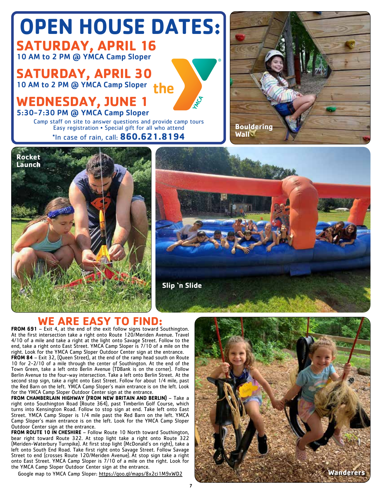## **OPEN HOUSE DATES: SATURDAY, APRIL 16**

10 AM to 2 PM @ YMCA Camp Sloper

**SATURDAY, APRIL 30** 10 AM to 2 PM @ YMCA Camp Sloper the

### **WEDNESDAY, JUNE 1** 5:30-7:30 PM @ YMCA Camp Sloper

Camp staff on site to answer questions and provide camp tours Easy registration • Special gift for all who attend \*In case of rain, call: **860.621.8194**







## **FROM 691 – Exit 4, at the end of the exit follow signs toward Southington.**

At the first intersection take a right onto Route 120/Meriden Avenue. Travel 4/10 of a mile and take a right at the light onto Savage Street. Follow to the end, take a right onto East Street. YMCA Camp Sloper is 7/10 of a mile on the right. Look for the YMCA Camp Sloper Outdoor Center sign at the entrance.

**FROM 84** – Exit 32, (Queen Street), at the end of the ramp head south on Route 10 for 2-2/10 of a mile through the center of Southington. At the end of the Town Green, take a left onto Berlin Avenue (TDBank is on the corner). Follow Berlin Avenue to the four-way intersection. Take a left onto Berlin Street. At the second stop sign, take a right onto East Street. Follow for about 1/4 mile, past the Red Barn on the left. YMCA Camp Sloper's main entrance is on the left. Look for the YMCA Camp Sloper Outdoor Center sign at the entrance.

**FROM CHAMBERLAIN HIGHWAY (FROM NEW BRITAIN AND BERLIN)** – Take a right onto Southington Road (Route 364), past Timberlin Golf Course, which turns into Kensington Road. Follow to stop sign at end. Take left onto East Street. YMCA Camp Sloper is 1/4 mile past the Red Barn on the left. YMCA Camp Sloper's main entrance is on the left. Look for the YMCA Camp Sloper Outdoor Center sign at the entrance.

**FROM ROUTE 10 IN CHESHIRE** – Follow Route 10 North toward Southington, bear right toward Route 322. At stop light take a right onto Route 322 (Meriden-Waterbury Turnpike). At first stop light (McDonald's on right), take a left onto South End Road. Take first right onto Savage Street. Follow Savage Street to end (crosses Route 120/Meriden Avenue). At stop sign take a right onto East Street. YMCA Camp Sloper is 7/10 of a mile on the right. Look for the YMCA Camp Sloper Outdoor Center sign at the entrance.

Google map to YMCA Camp Sloper: https://goo.gl/maps/8x2ci1M9xWD2

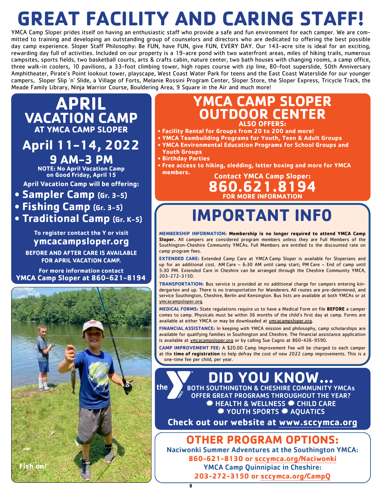# **GREAT FACILITY AND CARING STAFF!**

YMCA Camp Sloper prides itself on having an enthusiastic staff who provide a safe and fun environment for each camper. We are committed to training and developing an outstanding group of counselors and directors who are dedicated to offering the best possible day camp experience. Sloper Staff Philosophy: Be FUN, have FUN, give FUN, EVERY DAY. Our 143-acre site is ideal for an exciting, rewarding day full of activities. Included on our property is a 19-acre pond with two waterfront areas, miles of hiking trails, numerous campsites, sports fields, two basketball courts, arts & crafts cabin, nature center, two bath houses with changing rooms, a camp office, three walk-in coolers, 10 pavilions, a 33-foot climbing tower, high ropes course with zip line, 80-foot superslide, 50th Anniversary Amphitheater, Pirate's Point lookout tower, playscape, West Coast Water Park for teens and the East Coast Waterslide for our younger campers, Sloper Slip 'n' Slide, a Village of Forts, Melanie Rossini Program Center, Sloper Store, the Sloper Express, Tricycle Track, the Meade Family Library, Ninja Warrior Course, Bouldering Area, 9 Square in the Air and much more!

## **APRIL VACATION CAMP AT YMCA CAMP SLOPER**

## **April 11-14, 2022 9 AM-3 PM**

**NOTE: No April Vacation Camp on Good Friday, April 15 April Vacation Camp will be offering:**

### **• Sampler Camp (Gr. 3-5) • Fishing Camp (Gr. 3-5) • Traditional Camp (Gr. K-5)**

**To register contact the Y or visit ymcacampsloper.org BEFORE AND AFTER CARE IS AVAILABLE FOR APRIL VACATION CAMP.**

**For more information contact YMCA Camp Sloper at 860-621-8194**



### **YMCA CAMP SLOPER OUTDOOR CENTER ALSO OFFERS:**

- **Facility Rental for Groups from 20 to 200 and more!**
- **YMCA Teambuilding Programs for Youth, Teen & Adult Groups**
- **YMCA Environmental Education Programs for School Groups and Youth Groups**
- **Birthday Parties**
- **Free access to hiking, sledding, letter boxing and more for YMCA members. Contact YMCA Camp Sloper:**

**860.621.8194 FOR MORE INFORMATION**

## **IMPORTANT INF0**

**MEMBERSHIP INFORMATION: Membership is no longer required to attend YMCA Camp Sloper.** All campers are considered program members unless they are Full Members of the Southington-Cheshire Community YMCAs. Full Members are entitled to the discounted rate on camp program fees.

**EXTENDED CARE:** Extended Camp Care at YMCA Camp Sloper is available for Sloperians and up for an additional cost. AM Care – 6:30 AM until camp start; PM Care – End of camp until 5:30 PM. Extended Care in Cheshire can be arranged through the Cheshire Community YMCA, 203-272-3150.

**TRANSPORTATION:** Bus service is provided at no additional charge for campers entering kindergarten and up. There is no transportation for Wanderers. All routes are pre-determined, and service Southington, Cheshire, Berlin and Kensington. Bus lists are available at both YMCAs or at ymcacampsloper.org.

**MEDICAL FORMS:** State regulations require us to have a Medical Form on file **BEFORE** a camper comes to camp. Physicals must be within 36 months of the child's first day at camp. Forms are available at either YMCA or may be downloaded at ymcacampsloper.org.

**FINANCIAL ASSISTANCE:** In keeping with YMCA mission and philosophy, camp scholarships are available for qualifying families in Southington and Cheshire. The financial assistance application is available at ymcacampsloper.org or by calling Sue Cagno at 860-426-9590.

**CAMP IMPROVEMENT FEE:** A \$20.00 Camp Improvement Fee will be charged to each camper at the **time of registration** to help defray the cost of new 2022 camp improvements. This is a one-time fee per child, per year.

> **DID YOU KNOW…**  BOTH SOUTHINGTON & CHESHIRE COMMUNITY YMCAs OFFER GREAT PROGRAMS THROUGHOUT THE YEAR? HEALTH & WELLNESS CHILD CARE **WE YOUTH SPORTS # AQUATICS**

**Check out our website at www.sccymca.org**

### **OTHER PROGRAM OPTIONS:**

Naciwonki Summer Adventures at the Southington YMCA: **860-621-8130 or sccymca.org/Naciwonki** YMCA Camp Quinnipiac in Cheshire: **203-272-3150 or sccymca.org/CampQ**

the